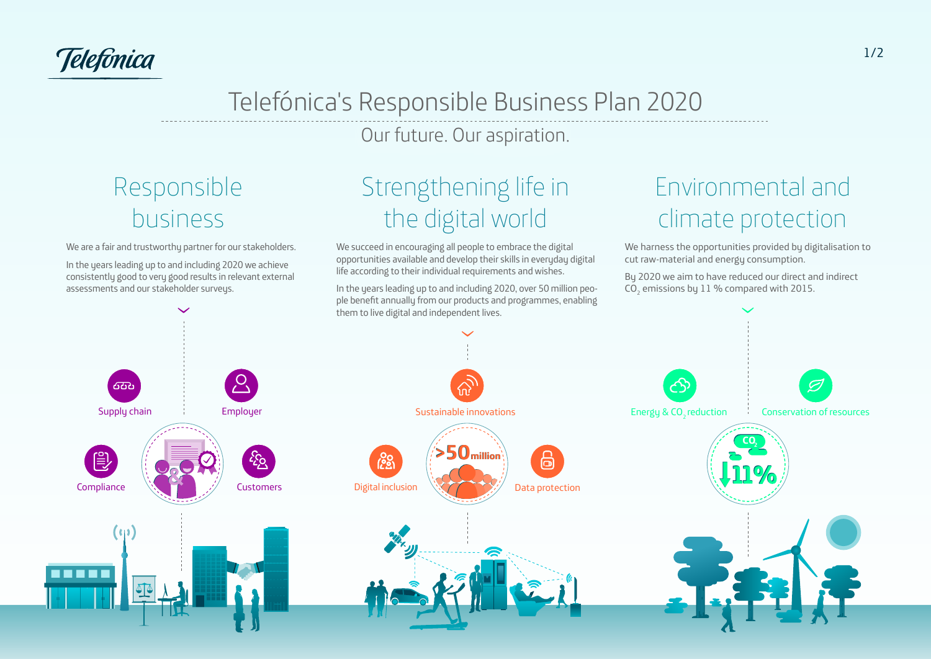Telefônica

ICONO Red

#### Telefónica's Responsible Business Plan 2020 Versiones en positivo ICONO Nuboso iess Plan 2020 i i colori Versiones en positivo a's Responsibl  $\frac{1}{\sqrt{2}}$ <u>Telefonica's Res</u>

Our future. Our aspiration. Versiones en positivo

#### **Icono**<br>Pantone 3 **Icono** Responsible Responsible **con reejo** business

<u>ICONO Ministro de la c</u>

We are a fair and trustworthy partner for our stakeholders. **Icono Icono**

In the years leading up to and including 2020 we achieve **con reejo** consistently good to very good results in relevant external assessments and our stakeholder surveys. **Icono**

## the digital world **Icono con Strenothening life in** Strengthening life in

We succeed in encouraging all people to embrace the digital opportunities available and develop their skills in everyday digital **Icono** life according to their individual requirements and wishes. able and c

In the years leading up to and including 2020, over 50 million people benefit annually from our products and programmes, enabling

## **Icono con reejo** Environmental and rlim climate protection

Versiones en positivo

We harness the opportunities provided by digitalisation to **Icono** cut raw-material and energy consumption.

By 2020 we aim to have reduced our direct and indirect  $\mathsf{CO}_2$  emissions by  $11$  % compared with 2015.